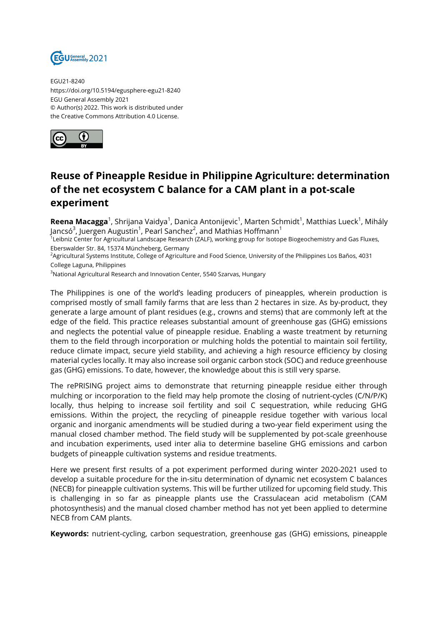

EGU21-8240 https://doi.org/10.5194/egusphere-egu21-8240 EGU General Assembly 2021 © Author(s) 2022. This work is distributed under the Creative Commons Attribution 4.0 License.



## **Reuse of Pineapple Residue in Philippine Agriculture: determination of the net ecosystem C balance for a CAM plant in a pot-scale experiment**

**Reena Macagga<sup>1</sup>,** Shrijana Vaidya<sup>1</sup>, Danica Antonijevic<sup>1</sup>, Marten Schmidt<sup>1</sup>, Matthias Lueck<sup>1</sup>, Mihály Jancsó $^3$ , Juergen Augustin $^1$ , Pearl Sanchez $^2$ , and Mathias Hoffmann $^1$ 

<sup>1</sup>Leibniz Center for Agricultural Landscape Research (ZALF), working group for Isotope Biogeochemistry and Gas Fluxes, Eberswalder Str. 84, 15374 Müncheberg, Germany

<sup>2</sup>Agricultural Systems Institute, College of Agriculture and Food Science, University of the Philippines Los Baños, 4031 College Laguna, Philippines

<sup>3</sup>National Agricultural Research and Innovation Center, 5540 Szarvas, Hungary

The Philippines is one of the world's leading producers of pineapples, wherein production is comprised mostly of small family farms that are less than 2 hectares in size. As by-product, they generate a large amount of plant residues (e.g., crowns and stems) that are commonly left at the edge of the field. This practice releases substantial amount of greenhouse gas (GHG) emissions and neglects the potential value of pineapple residue. Enabling a waste treatment by returning them to the field through incorporation or mulching holds the potential to maintain soil fertility, reduce climate impact, secure yield stability, and achieving a high resource efficiency by closing material cycles locally. It may also increase soil organic carbon stock (SOC) and reduce greenhouse gas (GHG) emissions. To date, however, the knowledge about this is still very sparse.

The rePRISING project aims to demonstrate that returning pineapple residue either through mulching or incorporation to the field may help promote the closing of nutrient-cycles (C/N/P/K) locally, thus helping to increase soil fertility and soil C sequestration, while reducing GHG emissions. Within the project, the recycling of pineapple residue together with various local organic and inorganic amendments will be studied during a two-year field experiment using the manual closed chamber method. The field study will be supplemented by pot-scale greenhouse and incubation experiments, used inter alia to determine baseline GHG emissions and carbon budgets of pineapple cultivation systems and residue treatments.

Here we present first results of a pot experiment performed during winter 2020-2021 used to develop a suitable procedure for the in-situ determination of dynamic net ecosystem C balances (NECB) for pineapple cultivation systems. This will be further utilized for upcoming field study. This is challenging in so far as pineapple plants use the Crassulacean acid metabolism (CAM photosynthesis) and the manual closed chamber method has not yet been applied to determine NECB from CAM plants.

**Keywords:** nutrient-cycling, carbon sequestration, greenhouse gas (GHG) emissions, pineapple